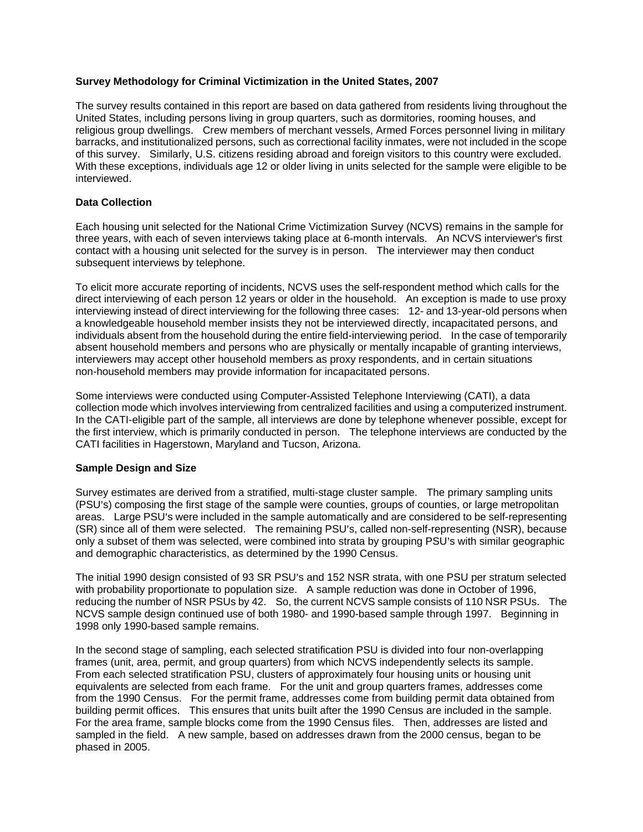# **Survey Methodology for Criminal Victimization in the United States, 2007**

The survey results contained in this report are based on data gathered from residents living throughout the United States, including persons living in group quarters, such as dormitories, rooming houses, and religious group dwellings. Crew members of merchant vessels, Armed Forces personnel living in military barracks, and institutionalized persons, such as correctional facility inmates, were not included in the scope of this survey. Similarly, U.S. citizens residing abroad and foreign visitors to this country were excluded. With these exceptions, individuals age 12 or older living in units selected for the sample were eligible to be interviewed.

## **Data Collection**

Each housing unit selected for the National Crime Victimization Survey (NCVS) remains in the sample for three years, with each of seven interviews taking place at 6-month intervals. An NCVS interviewer's first contact with a housing unit selected for the survey is in person. The interviewer may then conduct subsequent interviews by telephone.

To elicit more accurate reporting of incidents, NCVS uses the self-respondent method which calls for the direct interviewing of each person 12 years or older in the household. An exception is made to use proxy interviewing instead of direct interviewing for the following three cases: 12- and 13-year-old persons when a knowledgeable household member insists they not be interviewed directly, incapacitated persons, and individuals absent from the household during the entire field-interviewing period. In the case of temporarily absent household members and persons who are physically or mentally incapable of granting interviews, interviewers may accept other household members as proxy respondents, and in certain situations non-household members may provide information for incapacitated persons.

Some interviews were conducted using Computer-Assisted Telephone Interviewing (CATI), a data collection mode which involves interviewing from centralized facilities and using a computerized instrument. In the CATI-eligible part of the sample, all interviews are done by telephone whenever possible, except for the first interview, which is primarily conducted in person. The telephone interviews are conducted by the CATI facilities in Hagerstown, Maryland and Tucson, Arizona.

# **Sample Design and Size**

Survey estimates are derived from a stratified, multi-stage cluster sample. The primary sampling units (PSU's) composing the first stage of the sample were counties, groups of counties, or large metropolitan areas. Large PSU's were included in the sample automatically and are considered to be self-representing (SR) since all of them were selected. The remaining PSU's, called non-self-representing (NSR), because only a subset of them was selected, were combined into strata by grouping PSU's with similar geographic and demographic characteristics, as determined by the 1990 Census.

The initial 1990 design consisted of 93 SR PSU's and 152 NSR strata, with one PSU per stratum selected with probability proportionate to population size. A sample reduction was done in October of 1996, reducing the number of NSR PSUs by 42. So, the current NCVS sample consists of 110 NSR PSUs. The NCVS sample design continued use of both 1980- and 1990-based sample through 1997. Beginning in 1998 only 1990-based sample remains.

In the second stage of sampling, each selected stratification PSU is divided into four non-overlapping frames (unit, area, permit, and group quarters) from which NCVS independently selects its sample. From each selected stratification PSU, clusters of approximately four housing units or housing unit equivalents are selected from each frame. For the unit and group quarters frames, addresses come from the 1990 Census. For the permit frame, addresses come from building permit data obtained from building permit offices. This ensures that units built after the 1990 Census are included in the sample. For the area frame, sample blocks come from the 1990 Census files. Then, addresses are listed and sampled in the field. A new sample, based on addresses drawn from the 2000 census, began to be phased in 2005.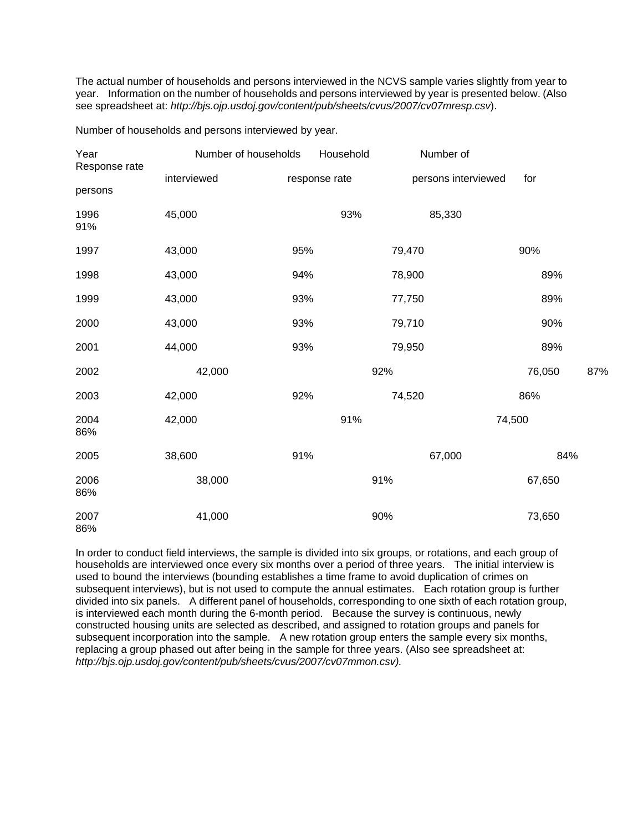The actual number of households and persons interviewed in the NCVS sample varies slightly from year to year. Information on the number of households and persons interviewed by year is presented below. (Also see spreadsheet at: *http://bjs.ojp.usdoj.gov/content/pub/sheets/cvus/2007/cv07mresp.csv*).

Number of households and persons interviewed by year.

| Year<br>Response rate | Number of households |     | Number of<br>Household |        |                            |        |     |
|-----------------------|----------------------|-----|------------------------|--------|----------------------------|--------|-----|
| persons               | interviewed          |     | response rate          |        | persons interviewed<br>for |        |     |
| 1996<br>91%           | 45,000               |     | 93%                    | 85,330 |                            |        |     |
| 1997                  | 43,000               | 95% |                        | 79,470 | 90%                        |        |     |
| 1998                  | 43,000               | 94% |                        | 78,900 |                            | 89%    |     |
| 1999                  | 43,000               | 93% |                        | 77,750 |                            | 89%    |     |
| 2000                  | 43,000               | 93% |                        | 79,710 |                            | 90%    |     |
| 2001                  | 44,000               | 93% |                        | 79,950 |                            | 89%    |     |
| 2002                  | 42,000               |     |                        | 92%    |                            | 76,050 | 87% |
| 2003                  | 42,000               | 92% |                        | 74,520 | 86%                        |        |     |
| 2004<br>86%           | 42,000               |     | 91%                    |        | 74,500                     |        |     |
| 2005                  | 38,600               | 91% |                        | 67,000 |                            | 84%    |     |
| 2006<br>86%           | 38,000               |     |                        | 91%    |                            | 67,650 |     |
| 2007<br>86%           | 41,000               |     |                        | 90%    |                            | 73,650 |     |

In order to conduct field interviews, the sample is divided into six groups, or rotations, and each group of households are interviewed once every six months over a period of three years. The initial interview is used to bound the interviews (bounding establishes a time frame to avoid duplication of crimes on subsequent interviews), but is not used to compute the annual estimates. Each rotation group is further divided into six panels. A different panel of households, corresponding to one sixth of each rotation group, is interviewed each month during the 6-month period. Because the survey is continuous, newly constructed housing units are selected as described, and assigned to rotation groups and panels for subsequent incorporation into the sample. A new rotation group enters the sample every six months, replacing a group phased out after being in the sample for three years. (Also see spreadsheet at: *http://bjs.ojp.usdoj.gov/content/pub/sheets/cvus/2007/cv07mmon.csv).*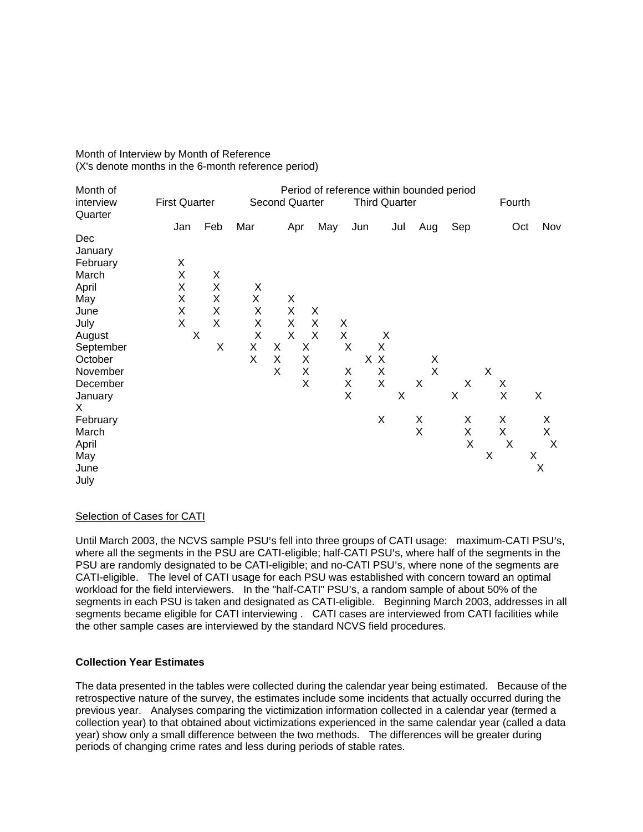### Month of Interview by Month of Reference (X's denote months in the 6-month reference period)

| Month of<br>interview<br>Quarter |     | Period of reference within bounded period<br><b>First Quarter</b><br><b>Third Quarter</b><br><b>Second Quarter</b> |     |   |     |   |     |   |     | Fourth |     |   |     |   |     |   |   |     |     |
|----------------------------------|-----|--------------------------------------------------------------------------------------------------------------------|-----|---|-----|---|-----|---|-----|--------|-----|---|-----|---|-----|---|---|-----|-----|
|                                  | Jan | Feb                                                                                                                | Mar |   | Apr |   | May |   | Jun |        | Jul |   | Aug |   | Sep |   |   | Oct | Nov |
| Dec                              |     |                                                                                                                    |     |   |     |   |     |   |     |        |     |   |     |   |     |   |   |     |     |
| January                          |     |                                                                                                                    |     |   |     |   |     |   |     |        |     |   |     |   |     |   |   |     |     |
| February                         | Χ   |                                                                                                                    |     |   |     |   |     |   |     |        |     |   |     |   |     |   |   |     |     |
| March                            | Χ   | X                                                                                                                  |     |   |     |   |     |   |     |        |     |   |     |   |     |   |   |     |     |
| April                            | Χ   | X                                                                                                                  | X   |   |     |   |     |   |     |        |     |   |     |   |     |   |   |     |     |
| May                              | Χ   | X                                                                                                                  | X   |   | X   |   |     |   |     |        |     |   |     |   |     |   |   |     |     |
| June                             | X   | Χ                                                                                                                  | Χ   |   | X   | X |     |   |     |        |     |   |     |   |     |   |   |     |     |
| July                             | X   | X                                                                                                                  | X   |   | X   | X |     | X |     |        |     |   |     |   |     |   |   |     |     |
| August                           | X   |                                                                                                                    | X   |   | X   | X |     | X |     | X      |     |   |     |   |     |   |   |     |     |
| September                        |     | X                                                                                                                  | X   | X |     | X |     | X |     | X      |     |   |     |   |     |   |   |     |     |
| October                          |     |                                                                                                                    | X   | X |     | X |     |   |     | X X    |     |   | X   |   |     |   |   |     |     |
| November                         |     |                                                                                                                    |     | X |     | X |     | X |     | X      |     |   | X   |   |     | X |   |     |     |
| December                         |     |                                                                                                                    |     |   |     | Χ |     | X |     | X      |     | X |     |   | X   |   | X |     |     |
| January                          |     |                                                                                                                    |     |   |     |   |     | X |     |        | X   |   |     | X |     |   | X |     | X   |
| X.                               |     |                                                                                                                    |     |   |     |   |     |   |     |        |     |   |     |   |     |   |   |     |     |
| February                         |     |                                                                                                                    |     |   |     |   |     |   |     | X      |     | X |     |   | X   |   | Χ |     | X   |
| March                            |     |                                                                                                                    |     |   |     |   |     |   |     |        |     | X |     |   | X   |   | X |     | X   |
| April                            |     |                                                                                                                    |     |   |     |   |     |   |     |        |     |   |     |   | X   |   | X |     | X   |
| May                              |     |                                                                                                                    |     |   |     |   |     |   |     |        |     |   |     |   |     | Χ |   | X   |     |
| June                             |     |                                                                                                                    |     |   |     |   |     |   |     |        |     |   |     |   |     |   |   |     | Χ   |
| July                             |     |                                                                                                                    |     |   |     |   |     |   |     |        |     |   |     |   |     |   |   |     |     |
|                                  |     |                                                                                                                    |     |   |     |   |     |   |     |        |     |   |     |   |     |   |   |     |     |

### Selection of Cases for CATI

Until March 2003, the NCVS sample PSU's fell into three groups of CATI usage: maximum-CATI PSU's, where all the segments in the PSU are CATI-eligible; half-CATI PSU's, where half of the segments in the PSU are randomly designated to be CATI-eligible; and no-CATI PSU's, where none of the segments are CATI-eligible. The level of CATI usage for each PSU was established with concern toward an optimal workload for the field interviewers. In the "half-CATI" PSU's, a random sample of about 50% of the segments in each PSU is taken and designated as CATI-eligible. Beginning March 2003, addresses in all segments became eligible for CATI interviewing . CATI cases are interviewed from CATI facilities while the other sample cases are interviewed by the standard NCVS field procedures.

### **Collection Year Estimates**

The data presented in the tables were collected during the calendar year being estimated. Because of the retrospective nature of the survey, the estimates include some incidents that actually occurred during the previous year. Analyses comparing the victimization information collected in a calendar year (termed a collection year) to that obtained about victimizations experienced in the same calendar year (called a data year) show only a small difference between the two methods. The differences will be greater during periods of changing crime rates and less during periods of stable rates.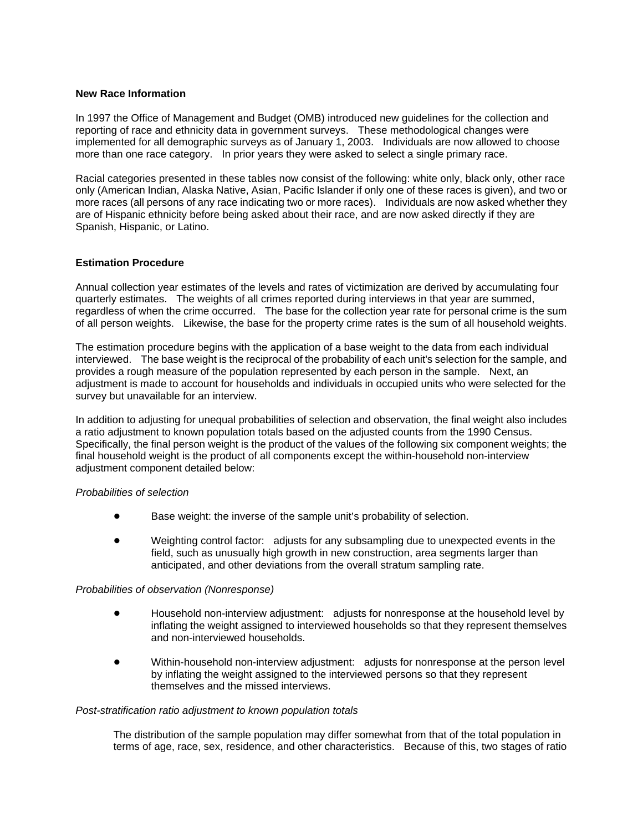#### **New Race Information**

In 1997 the Office of Management and Budget (OMB) introduced new guidelines for the collection and reporting of race and ethnicity data in government surveys. These methodological changes were implemented for all demographic surveys as of January 1, 2003. Individuals are now allowed to choose more than one race category. In prior years they were asked to select a single primary race.

Racial categories presented in these tables now consist of the following: white only, black only, other race only (American Indian, Alaska Native, Asian, Pacific Islander if only one of these races is given), and two or more races (all persons of any race indicating two or more races). Individuals are now asked whether they are of Hispanic ethnicity before being asked about their race, and are now asked directly if they are Spanish, Hispanic, or Latino.

### **Estimation Procedure**

Annual collection year estimates of the levels and rates of victimization are derived by accumulating four quarterly estimates. The weights of all crimes reported during interviews in that year are summed, regardless of when the crime occurred. The base for the collection year rate for personal crime is the sum of all person weights. Likewise, the base for the property crime rates is the sum of all household weights.

The estimation procedure begins with the application of a base weight to the data from each individual interviewed. The base weight is the reciprocal of the probability of each unit's selection for the sample, and provides a rough measure of the population represented by each person in the sample. Next, an adjustment is made to account for households and individuals in occupied units who were selected for the survey but unavailable for an interview.

In addition to adjusting for unequal probabilities of selection and observation, the final weight also includes a ratio adjustment to known population totals based on the adjusted counts from the 1990 Census. Specifically, the final person weight is the product of the values of the following six component weights; the final household weight is the product of all components except the within-household non-interview adjustment component detailed below:

### *Probabilities of selection*

- Base weight: the inverse of the sample unit's probability of selection.
- Weighting control factor: adjusts for any subsampling due to unexpected events in the field, such as unusually high growth in new construction, area segments larger than anticipated, and other deviations from the overall stratum sampling rate.

### *Probabilities of observation (Nonresponse)*

- ! Household non-interview adjustment: adjusts for nonresponse at the household level by inflating the weight assigned to interviewed households so that they represent themselves and non-interviewed households.
- ! Within-household non-interview adjustment: adjusts for nonresponse at the person level by inflating the weight assigned to the interviewed persons so that they represent themselves and the missed interviews.

### *Post-stratification ratio adjustment to known population totals*

The distribution of the sample population may differ somewhat from that of the total population in terms of age, race, sex, residence, and other characteristics. Because of this, two stages of ratio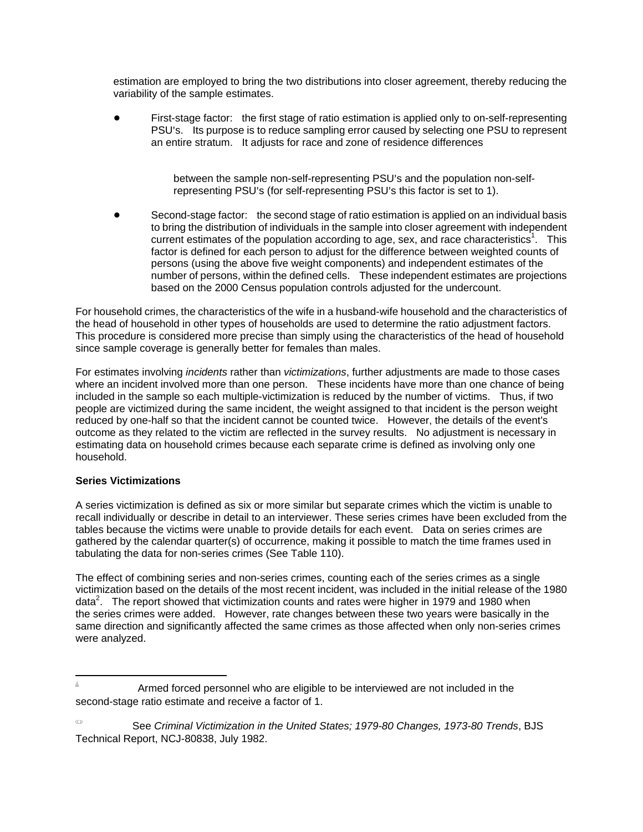estimation are employed to bring the two distributions into closer agreement, thereby reducing the variability of the sample estimates.

! First-stage factor: the first stage of ratio estimation is applied only to on-self-representing PSU's. Its purpose is to reduce sampling error caused by selecting one PSU to represent an entire stratum. It adjusts for race and zone of residence differences

> between the sample non-self-representing PSU's and the population non-selfrepresenting PSU's (for self-representing PSU's this factor is set to 1).

Second-stage factor: the second stage of ratio estimation is applied on an individual basis to bring the distribution of individuals in the sample into closer agreement with independent current estimates of the population according to age, sex, and race characteristics<sup>1</sup>. This factor is defined for each person to adjust for the difference between weighted counts of persons (using the above five weight components) and independent estimates of the number of persons, within the defined cells. These independent estimates are projections based on the 2000 Census population controls adjusted for the undercount.

For household crimes, the characteristics of the wife in a husband-wife household and the characteristics of the head of household in other types of households are used to determine the ratio adjustment factors. This procedure is considered more precise than simply using the characteristics of the head of household since sample coverage is generally better for females than males.

For estimates involving *incidents* rather than *victimizations*, further adjustments are made to those cases where an incident involved more than one person. These incidents have more than one chance of being included in the sample so each multiple-victimization is reduced by the number of victims. Thus, if two people are victimized during the same incident, the weight assigned to that incident is the person weight reduced by one-half so that the incident cannot be counted twice. However, the details of the event's outcome as they related to the victim are reflected in the survey results. No adjustment is necessary in estimating data on household crimes because each separate crime is defined as involving only one household.

# **Series Victimizations**

 $\overline{a}$ 

A series victimization is defined as six or more similar but separate crimes which the victim is unable to recall individually or describe in detail to an interviewer. These series crimes have been excluded from the tables because the victims were unable to provide details for each event. Data on series crimes are gathered by the calendar quarter(s) of occurrence, making it possible to match the time frames used in tabulating the data for non-series crimes (See Table 110).

The effect of combining series and non-series crimes, counting each of the series crimes as a single victimization based on the details of the most recent incident, was included in the initial release of the 1980 data<sup>2</sup>. The report showed that victimization counts and rates were higher in 1979 and 1980 when the series crimes were added. However, rate changes between these two years were basically in the same direction and significantly affected the same crimes as those affected when only non-series crimes were analyzed.

 $\Delta$  Armed forced personnel who are eligible to be interviewed are not included in the second-stage ratio estimate and receive a factor of 1.

<sup>2</sup> See *Criminal Victimization in the United States; 1979-80 Changes, 1973-80 Trends*, BJS Technical Report, NCJ-80838, July 1982.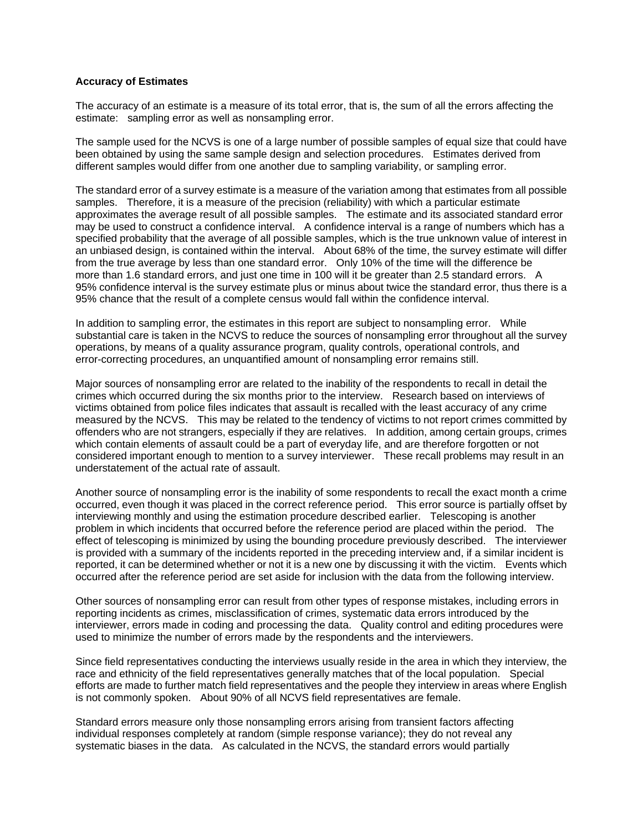### **Accuracy of Estimates**

The accuracy of an estimate is a measure of its total error, that is, the sum of all the errors affecting the estimate: sampling error as well as nonsampling error.

The sample used for the NCVS is one of a large number of possible samples of equal size that could have been obtained by using the same sample design and selection procedures. Estimates derived from different samples would differ from one another due to sampling variability, or sampling error.

The standard error of a survey estimate is a measure of the variation among that estimates from all possible samples. Therefore, it is a measure of the precision (reliability) with which a particular estimate approximates the average result of all possible samples. The estimate and its associated standard error may be used to construct a confidence interval. A confidence interval is a range of numbers which has a specified probability that the average of all possible samples, which is the true unknown value of interest in an unbiased design, is contained within the interval. About 68% of the time, the survey estimate will differ from the true average by less than one standard error. Only 10% of the time will the difference be more than 1.6 standard errors, and just one time in 100 will it be greater than 2.5 standard errors. A 95% confidence interval is the survey estimate plus or minus about twice the standard error, thus there is a 95% chance that the result of a complete census would fall within the confidence interval.

In addition to sampling error, the estimates in this report are subject to nonsampling error. While substantial care is taken in the NCVS to reduce the sources of nonsampling error throughout all the survey operations, by means of a quality assurance program, quality controls, operational controls, and error-correcting procedures, an unquantified amount of nonsampling error remains still.

Major sources of nonsampling error are related to the inability of the respondents to recall in detail the crimes which occurred during the six months prior to the interview. Research based on interviews of victims obtained from police files indicates that assault is recalled with the least accuracy of any crime measured by the NCVS. This may be related to the tendency of victims to not report crimes committed by offenders who are not strangers, especially if they are relatives. In addition, among certain groups, crimes which contain elements of assault could be a part of everyday life, and are therefore forgotten or not considered important enough to mention to a survey interviewer. These recall problems may result in an understatement of the actual rate of assault.

Another source of nonsampling error is the inability of some respondents to recall the exact month a crime occurred, even though it was placed in the correct reference period. This error source is partially offset by interviewing monthly and using the estimation procedure described earlier. Telescoping is another problem in which incidents that occurred before the reference period are placed within the period. The effect of telescoping is minimized by using the bounding procedure previously described. The interviewer is provided with a summary of the incidents reported in the preceding interview and, if a similar incident is reported, it can be determined whether or not it is a new one by discussing it with the victim. Events which occurred after the reference period are set aside for inclusion with the data from the following interview.

Other sources of nonsampling error can result from other types of response mistakes, including errors in reporting incidents as crimes, misclassification of crimes, systematic data errors introduced by the interviewer, errors made in coding and processing the data. Quality control and editing procedures were used to minimize the number of errors made by the respondents and the interviewers.

Since field representatives conducting the interviews usually reside in the area in which they interview, the race and ethnicity of the field representatives generally matches that of the local population. Special efforts are made to further match field representatives and the people they interview in areas where English is not commonly spoken. About 90% of all NCVS field representatives are female.

Standard errors measure only those nonsampling errors arising from transient factors affecting individual responses completely at random (simple response variance); they do not reveal any systematic biases in the data. As calculated in the NCVS, the standard errors would partially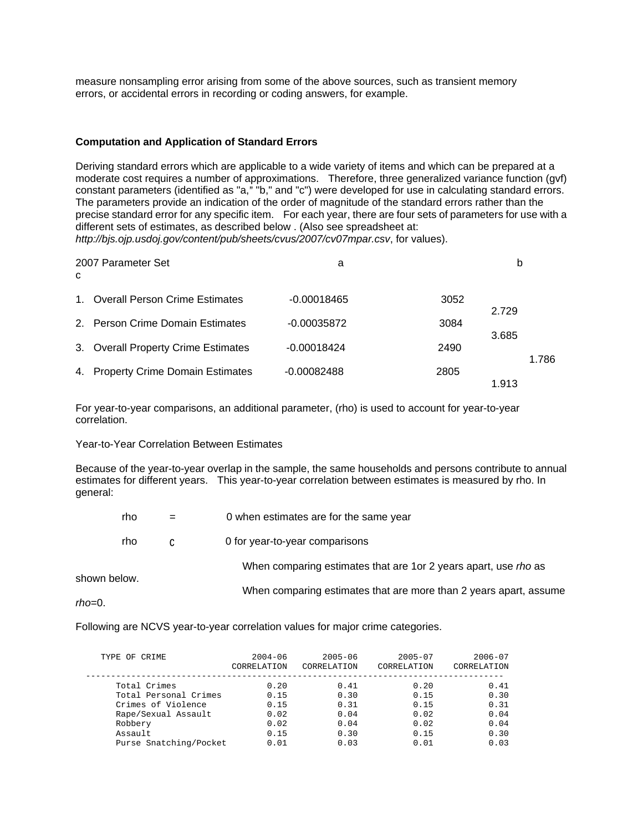measure nonsampling error arising from some of the above sources, such as transient memory errors, or accidental errors in recording or coding answers, for example.

### **Computation and Application of Standard Errors**

Deriving standard errors which are applicable to a wide variety of items and which can be prepared at a moderate cost requires a number of approximations. Therefore, three generalized variance function (gvf) constant parameters (identified as "a," "b," and "c") were developed for use in calculating standard errors. The parameters provide an indication of the order of magnitude of the standard errors rather than the precise standard error for any specific item. For each year, there are four sets of parameters for use with a different sets of estimates, as described below . (Also see spreadsheet at:

*http://bjs.ojp.usdoj.gov/content/pub/sheets/cvus/2007/cv07mpar.csv*, for values).

| C | 2007 Parameter Set                  | a             |      | b     |       |
|---|-------------------------------------|---------------|------|-------|-------|
|   | 1. Overall Person Crime Estimates   | -0.00018465   | 3052 | 2.729 |       |
|   | 2. Person Crime Domain Estimates    | $-0.00035872$ | 3084 | 3.685 |       |
|   | 3. Overall Property Crime Estimates | $-0.00018424$ | 2490 |       | 1.786 |
|   | 4. Property Crime Domain Estimates  | $-0.00082488$ | 2805 | 1.913 |       |

For year-to-year comparisons, an additional parameter, (rho) is used to account for year-to-year correlation.

### Year-to-Year Correlation Between Estimates

Because of the year-to-year overlap in the sample, the same households and persons contribute to annual estimates for different years. This year-to-year correlation between estimates is measured by rho. In general:

| rho          | $=$ | 0 when estimates are for the same year                            |  |
|--------------|-----|-------------------------------------------------------------------|--|
| rho          | C.  | 0 for year-to-year comparisons                                    |  |
| shown below. |     | When comparing estimates that are 1 or 2 years apart, use rho as  |  |
|              |     | When comparing estimates that are more than 2 years apart, assume |  |

*rho=*0.

Following are NCVS year-to-year correlation values for major crime categories.

| TYPE OF CRIME          | $2004 - 06$<br>CORRELATION | $2005 - 06$<br>CORRELATION | $2005 - 07$<br>CORRELATION | $2006 - 07$<br>CORRELATION |
|------------------------|----------------------------|----------------------------|----------------------------|----------------------------|
| Total Crimes           | 0.20                       | 0.41                       | 0.20                       | 0.41                       |
| Total Personal Crimes  | 0.15                       | 0.30                       | 0.15                       | 0.30                       |
| Crimes of Violence     | 0.15                       | 0.31                       | 0.15                       | 0.31                       |
| Rape/Sexual Assault    | 0.02                       | 0.04                       | 0.02                       | 0.04                       |
| Robbery                | 0.02                       | 0.04                       | 0.02                       | 0.04                       |
| Assault                | 0.15                       | 0.30                       | 0.15                       | 0.30                       |
| Purse Snatching/Pocket | 0.01                       | 0.03                       | 0.01                       | 0.03                       |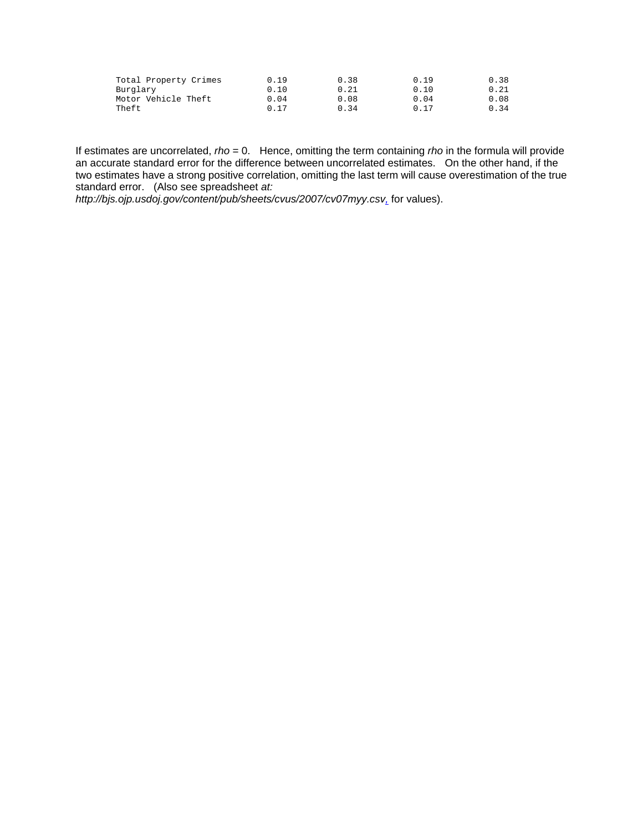| Total Property Crimes | 0.19 | 0.38 | 0.19 | 0.38 |
|-----------------------|------|------|------|------|
| Burglary              | 0.10 | 0.21 | 0.10 | 0.21 |
| Motor Vehicle Theft   | 0.04 | 0.08 | 0.04 | 0.08 |
| Theft.                | 0.17 | 0.34 | 0.17 | 0.34 |

If estimates are uncorrelated, *rho* = 0. Hence, omitting the term containing *rho* in the formula will provide an accurate standard error for the difference between uncorrelated estimates. On the other hand, if the two estimates have a strong positive correlation, omitting the last term will cause overestimation of the true standard error. (Also see spreadsheet *at:* 

*http://bjs.ojp.usdoj.gov/content/pub/sheets/cvus/2007/cv07myy.csv,* for values).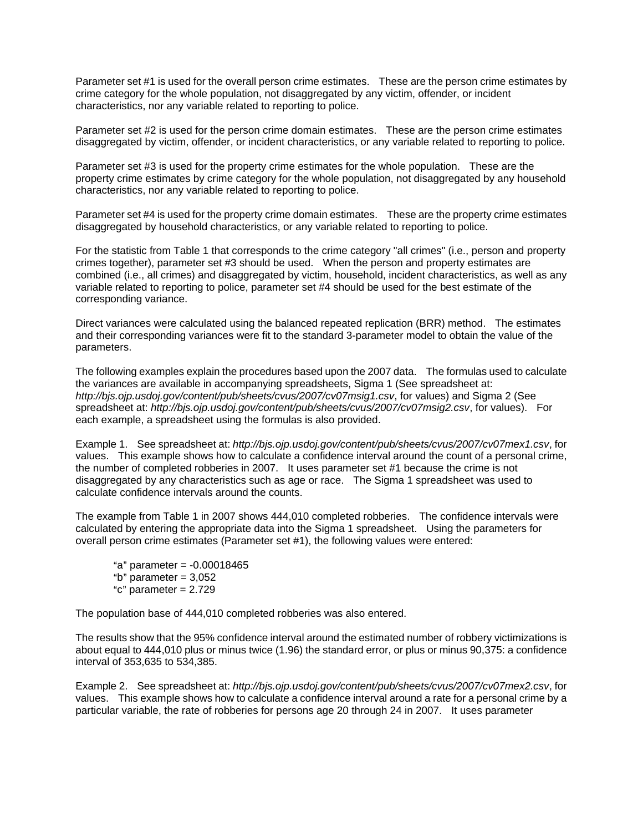Parameter set #1 is used for the overall person crime estimates. These are the person crime estimates by crime category for the whole population, not disaggregated by any victim, offender, or incident characteristics, nor any variable related to reporting to police.

Parameter set #2 is used for the person crime domain estimates. These are the person crime estimates disaggregated by victim, offender, or incident characteristics, or any variable related to reporting to police.

Parameter set #3 is used for the property crime estimates for the whole population. These are the property crime estimates by crime category for the whole population, not disaggregated by any household characteristics, nor any variable related to reporting to police.

Parameter set #4 is used for the property crime domain estimates. These are the property crime estimates disaggregated by household characteristics, or any variable related to reporting to police.

For the statistic from Table 1 that corresponds to the crime category "all crimes" (i.e., person and property crimes together), parameter set #3 should be used. When the person and property estimates are combined (i.e., all crimes) and disaggregated by victim, household, incident characteristics, as well as any variable related to reporting to police, parameter set #4 should be used for the best estimate of the corresponding variance.

Direct variances were calculated using the balanced repeated replication (BRR) method. The estimates and their corresponding variances were fit to the standard 3-parameter model to obtain the value of the parameters.

The following examples explain the procedures based upon the 2007 data. The formulas used to calculate the variances are available in accompanying spreadsheets, Sigma 1 (See spreadsheet at: *http://bjs.ojp.usdoj.gov/content/pub/sheets/cvus/2007/cv07msig1.csv*, for values) and Sigma 2 (See spreadsheet at: *http://bjs.ojp.usdoj.gov/content/pub/sheets/cvus/2007/cv07msig2.csv*, for values). For each example, a spreadsheet using the formulas is also provided.

Example 1. See spreadsheet at: *http://bjs.ojp.usdoj.gov/content/pub/sheets/cvus/2007/cv07mex1.csv*, for values. This example shows how to calculate a confidence interval around the count of a personal crime, the number of completed robberies in 2007. It uses parameter set #1 because the crime is not disaggregated by any characteristics such as age or race. The Sigma 1 spreadsheet was used to calculate confidence intervals around the counts.

The example from Table 1 in 2007 shows 444,010 completed robberies. The confidence intervals were calculated by entering the appropriate data into the Sigma 1 spreadsheet. Using the parameters for overall person crime estimates (Parameter set #1), the following values were entered:

"a" parameter =  $-0.00018465$ "b" parameter  $= 3,052$ " $c$ " parameter = 2.729

The population base of 444,010 completed robberies was also entered.

The results show that the 95% confidence interval around the estimated number of robbery victimizations is about equal to 444,010 plus or minus twice (1.96) the standard error, or plus or minus 90,375: a confidence interval of 353,635 to 534,385.

Example 2. See spreadsheet at: *http://bjs.ojp.usdoj.gov/content/pub/sheets/cvus/2007/cv07mex2.csv*, for values. This example shows how to calculate a confidence interval around a rate for a personal crime by a particular variable, the rate of robberies for persons age 20 through 24 in 2007. It uses parameter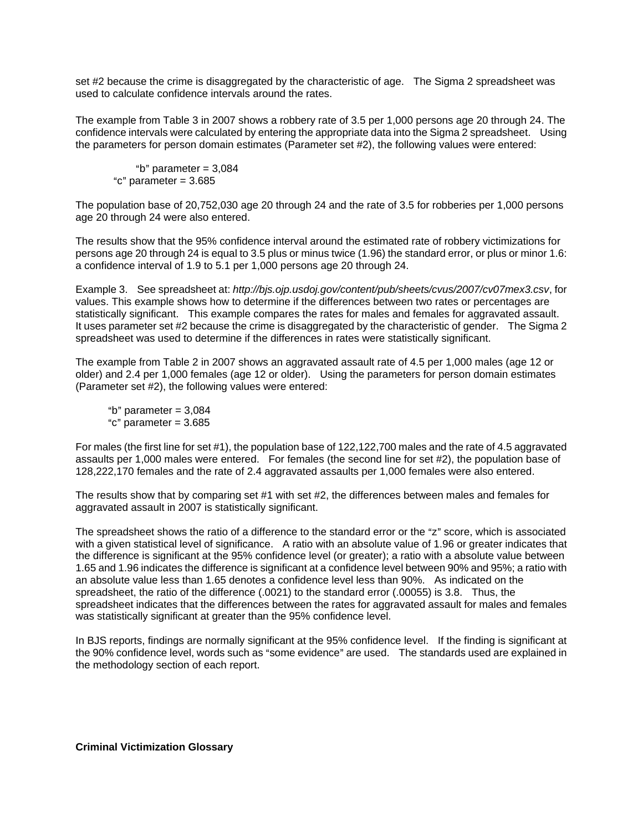set #2 because the crime is disaggregated by the characteristic of age. The Sigma 2 spreadsheet was used to calculate confidence intervals around the rates.

The example from Table 3 in 2007 shows a robbery rate of 3.5 per 1,000 persons age 20 through 24. The confidence intervals were calculated by entering the appropriate data into the Sigma 2 spreadsheet. Using the parameters for person domain estimates (Parameter set #2), the following values were entered:

"b" parameter  $= 3,084$ " $c$ " parameter = 3.685

The population base of 20,752,030 age 20 through 24 and the rate of 3.5 for robberies per 1,000 persons age 20 through 24 were also entered.

The results show that the 95% confidence interval around the estimated rate of robbery victimizations for persons age 20 through 24 is equal to 3.5 plus or minus twice (1.96) the standard error, or plus or minor 1.6: a confidence interval of 1.9 to 5.1 per 1,000 persons age 20 through 24.

Example 3. See spreadsheet at: *http://bjs.ojp.usdoj.gov/content/pub/sheets/cvus/2007/cv07mex3.csv*, for values. This example shows how to determine if the differences between two rates or percentages are statistically significant. This example compares the rates for males and females for aggravated assault. It uses parameter set #2 because the crime is disaggregated by the characteristic of gender. The Sigma 2 spreadsheet was used to determine if the differences in rates were statistically significant.

The example from Table 2 in 2007 shows an aggravated assault rate of 4.5 per 1,000 males (age 12 or older) and 2.4 per 1,000 females (age 12 or older). Using the parameters for person domain estimates (Parameter set #2), the following values were entered:

"b" parameter  $= 3,084$ " $c$ " parameter = 3.685

For males (the first line for set #1), the population base of 122,122,700 males and the rate of 4.5 aggravated assaults per 1,000 males were entered. For females (the second line for set #2), the population base of 128,222,170 females and the rate of 2.4 aggravated assaults per 1,000 females were also entered.

The results show that by comparing set #1 with set #2, the differences between males and females for aggravated assault in 2007 is statistically significant.

The spreadsheet shows the ratio of a difference to the standard error or the "z" score, which is associated with a given statistical level of significance. A ratio with an absolute value of 1.96 or greater indicates that the difference is significant at the 95% confidence level (or greater); a ratio with a absolute value between 1.65 and 1.96 indicates the difference is significant at a confidence level between 90% and 95%; a ratio with an absolute value less than 1.65 denotes a confidence level less than 90%. As indicated on the spreadsheet, the ratio of the difference (.0021) to the standard error (.00055) is 3.8. Thus, the spreadsheet indicates that the differences between the rates for aggravated assault for males and females was statistically significant at greater than the 95% confidence level.

In BJS reports, findings are normally significant at the 95% confidence level. If the finding is significant at the 90% confidence level, words such as "some evidence" are used. The standards used are explained in the methodology section of each report.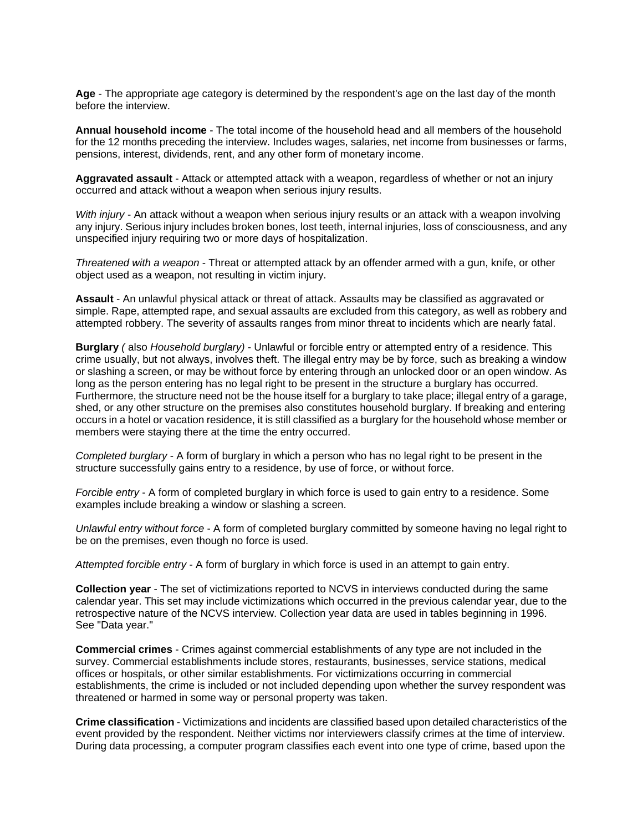**Age** - The appropriate age category is determined by the respondent's age on the last day of the month before the interview.

**Annual household income** - The total income of the household head and all members of the household for the 12 months preceding the interview. Includes wages, salaries, net income from businesses or farms, pensions, interest, dividends, rent, and any other form of monetary income.

**Aggravated assault** - Attack or attempted attack with a weapon, regardless of whether or not an injury occurred and attack without a weapon when serious injury results.

*With injury* - An attack without a weapon when serious injury results or an attack with a weapon involving any injury. Serious injury includes broken bones, lost teeth, internal injuries, loss of consciousness, and any unspecified injury requiring two or more days of hospitalization.

*Threatened with a weapon* - Threat or attempted attack by an offender armed with a gun, knife, or other object used as a weapon, not resulting in victim injury.

**Assault** - An unlawful physical attack or threat of attack. Assaults may be classified as aggravated or simple. Rape, attempted rape, and sexual assaults are excluded from this category, as well as robbery and attempted robbery. The severity of assaults ranges from minor threat to incidents which are nearly fatal.

**Burglary** *(* also *Household burglary)* - Unlawful or forcible entry or attempted entry of a residence. This crime usually, but not always, involves theft. The illegal entry may be by force, such as breaking a window or slashing a screen, or may be without force by entering through an unlocked door or an open window. As long as the person entering has no legal right to be present in the structure a burglary has occurred. Furthermore, the structure need not be the house itself for a burglary to take place; illegal entry of a garage, shed, or any other structure on the premises also constitutes household burglary. If breaking and entering occurs in a hotel or vacation residence, it is still classified as a burglary for the household whose member or members were staying there at the time the entry occurred.

*Completed burglary* - A form of burglary in which a person who has no legal right to be present in the structure successfully gains entry to a residence, by use of force, or without force.

*Forcible entry* - A form of completed burglary in which force is used to gain entry to a residence. Some examples include breaking a window or slashing a screen.

*Unlawful entry without force* - A form of completed burglary committed by someone having no legal right to be on the premises, even though no force is used.

*Attempted forcible entry* - A form of burglary in which force is used in an attempt to gain entry.

**Collection year** - The set of victimizations reported to NCVS in interviews conducted during the same calendar year. This set may include victimizations which occurred in the previous calendar year, due to the retrospective nature of the NCVS interview. Collection year data are used in tables beginning in 1996. See "Data year."

**Commercial crimes** - Crimes against commercial establishments of any type are not included in the survey. Commercial establishments include stores, restaurants, businesses, service stations, medical offices or hospitals, or other similar establishments. For victimizations occurring in commercial establishments, the crime is included or not included depending upon whether the survey respondent was threatened or harmed in some way or personal property was taken.

**Crime classification** - Victimizations and incidents are classified based upon detailed characteristics of the event provided by the respondent. Neither victims nor interviewers classify crimes at the time of interview. During data processing, a computer program classifies each event into one type of crime, based upon the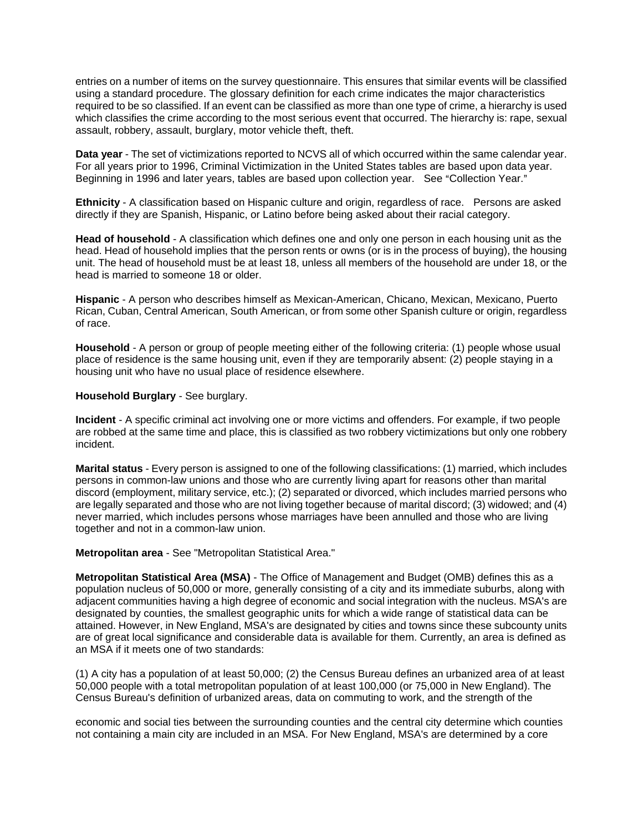entries on a number of items on the survey questionnaire. This ensures that similar events will be classified using a standard procedure. The glossary definition for each crime indicates the major characteristics required to be so classified. If an event can be classified as more than one type of crime, a hierarchy is used which classifies the crime according to the most serious event that occurred. The hierarchy is: rape, sexual assault, robbery, assault, burglary, motor vehicle theft, theft.

**Data year** - The set of victimizations reported to NCVS all of which occurred within the same calendar year. For all years prior to 1996, Criminal Victimization in the United States tables are based upon data year. Beginning in 1996 and later years, tables are based upon collection year. See "Collection Year."

**Ethnicity** - A classification based on Hispanic culture and origin, regardless of race. Persons are asked directly if they are Spanish, Hispanic, or Latino before being asked about their racial category.

**Head of household** - A classification which defines one and only one person in each housing unit as the head. Head of household implies that the person rents or owns (or is in the process of buying), the housing unit. The head of household must be at least 18, unless all members of the household are under 18, or the head is married to someone 18 or older.

**Hispanic** - A person who describes himself as Mexican-American, Chicano, Mexican, Mexicano, Puerto Rican, Cuban, Central American, South American, or from some other Spanish culture or origin, regardless of race.

**Household** - A person or group of people meeting either of the following criteria: (1) people whose usual place of residence is the same housing unit, even if they are temporarily absent: (2) people staying in a housing unit who have no usual place of residence elsewhere.

### **Household Burglary** - See burglary.

**Incident** - A specific criminal act involving one or more victims and offenders. For example, if two people are robbed at the same time and place, this is classified as two robbery victimizations but only one robbery incident.

**Marital status** - Every person is assigned to one of the following classifications: (1) married, which includes persons in common-law unions and those who are currently living apart for reasons other than marital discord (employment, military service, etc.); (2) separated or divorced, which includes married persons who are legally separated and those who are not living together because of marital discord; (3) widowed; and (4) never married, which includes persons whose marriages have been annulled and those who are living together and not in a common-law union.

**Metropolitan area** - See "Metropolitan Statistical Area."

**Metropolitan Statistical Area (MSA)** - The Office of Management and Budget (OMB) defines this as a population nucleus of 50,000 or more, generally consisting of a city and its immediate suburbs, along with adjacent communities having a high degree of economic and social integration with the nucleus. MSA's are designated by counties, the smallest geographic units for which a wide range of statistical data can be attained. However, in New England, MSA's are designated by cities and towns since these subcounty units are of great local significance and considerable data is available for them. Currently, an area is defined as an MSA if it meets one of two standards:

(1) A city has a population of at least 50,000; (2) the Census Bureau defines an urbanized area of at least 50,000 people with a total metropolitan population of at least 100,000 (or 75,000 in New England). The Census Bureau's definition of urbanized areas, data on commuting to work, and the strength of the

economic and social ties between the surrounding counties and the central city determine which counties not containing a main city are included in an MSA. For New England, MSA's are determined by a core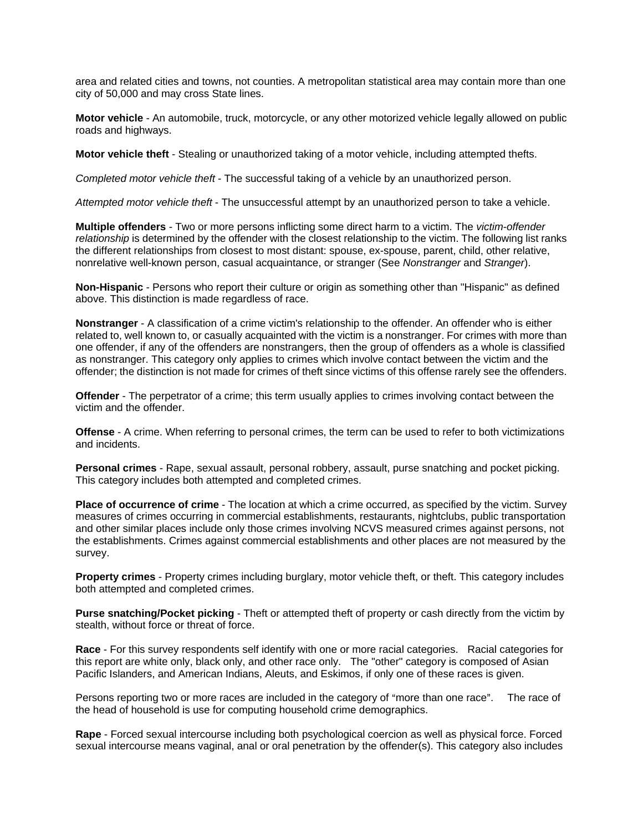area and related cities and towns, not counties. A metropolitan statistical area may contain more than one city of 50,000 and may cross State lines.

**Motor vehicle** - An automobile, truck, motorcycle, or any other motorized vehicle legally allowed on public roads and highways.

**Motor vehicle theft** - Stealing or unauthorized taking of a motor vehicle, including attempted thefts.

*Completed motor vehicle theft* - The successful taking of a vehicle by an unauthorized person.

*Attempted motor vehicle theft* - The unsuccessful attempt by an unauthorized person to take a vehicle.

**Multiple offenders** - Two or more persons inflicting some direct harm to a victim. The *victim-offender relationship* is determined by the offender with the closest relationship to the victim. The following list ranks the different relationships from closest to most distant: spouse, ex-spouse, parent, child, other relative, nonrelative well-known person, casual acquaintance, or stranger (See *Nonstranger* and *Stranger*).

**Non-Hispanic** - Persons who report their culture or origin as something other than "Hispanic" as defined above. This distinction is made regardless of race.

**Nonstranger** - A classification of a crime victim's relationship to the offender. An offender who is either related to, well known to, or casually acquainted with the victim is a nonstranger. For crimes with more than one offender, if any of the offenders are nonstrangers, then the group of offenders as a whole is classified as nonstranger. This category only applies to crimes which involve contact between the victim and the offender; the distinction is not made for crimes of theft since victims of this offense rarely see the offenders.

**Offender** - The perpetrator of a crime; this term usually applies to crimes involving contact between the victim and the offender.

**Offense** - A crime. When referring to personal crimes, the term can be used to refer to both victimizations and incidents.

**Personal crimes** - Rape, sexual assault, personal robbery, assault, purse snatching and pocket picking. This category includes both attempted and completed crimes.

**Place of occurrence of crime** - The location at which a crime occurred, as specified by the victim. Survey measures of crimes occurring in commercial establishments, restaurants, nightclubs, public transportation and other similar places include only those crimes involving NCVS measured crimes against persons, not the establishments. Crimes against commercial establishments and other places are not measured by the survey.

**Property crimes** - Property crimes including burglary, motor vehicle theft, or theft. This category includes both attempted and completed crimes.

**Purse snatching/Pocket picking** - Theft or attempted theft of property or cash directly from the victim by stealth, without force or threat of force.

**Race** - For this survey respondents self identify with one or more racial categories. Racial categories for this report are white only, black only, and other race only. The "other" category is composed of Asian Pacific Islanders, and American Indians, Aleuts, and Eskimos, if only one of these races is given.

Persons reporting two or more races are included in the category of "more than one race". The race of the head of household is use for computing household crime demographics.

**Rape** - Forced sexual intercourse including both psychological coercion as well as physical force. Forced sexual intercourse means vaginal, anal or oral penetration by the offender(s). This category also includes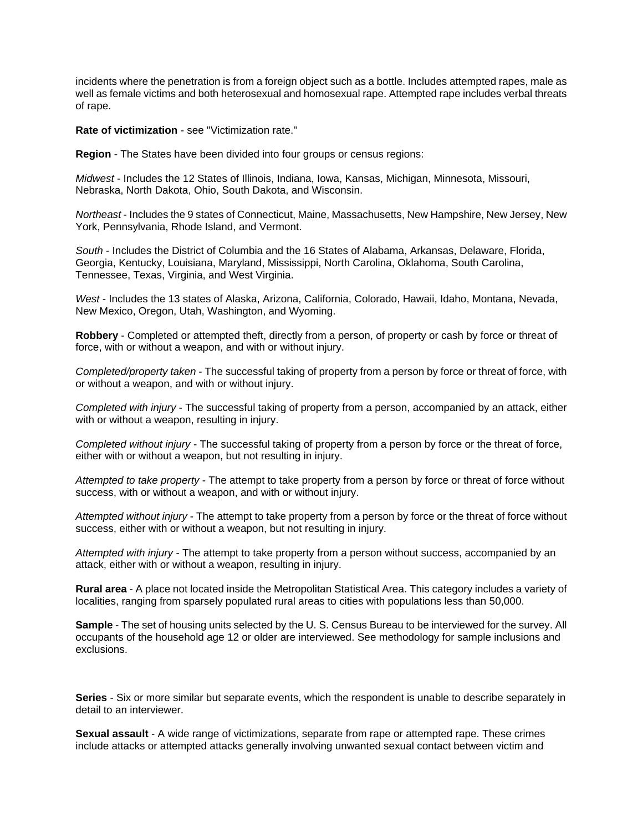incidents where the penetration is from a foreign object such as a bottle. Includes attempted rapes, male as well as female victims and both heterosexual and homosexual rape. Attempted rape includes verbal threats of rape.

**Rate of victimization** - see "Victimization rate."

**Region** - The States have been divided into four groups or census regions:

*Midwest* - Includes the 12 States of Illinois, Indiana, Iowa, Kansas, Michigan, Minnesota, Missouri, Nebraska, North Dakota, Ohio, South Dakota, and Wisconsin.

*Northeast* - Includes the 9 states of Connecticut, Maine, Massachusetts, New Hampshire, New Jersey, New York, Pennsylvania, Rhode Island, and Vermont.

*South* - Includes the District of Columbia and the 16 States of Alabama, Arkansas, Delaware, Florida, Georgia, Kentucky, Louisiana, Maryland, Mississippi, North Carolina, Oklahoma, South Carolina, Tennessee, Texas, Virginia, and West Virginia.

*West* - Includes the 13 states of Alaska, Arizona, California, Colorado, Hawaii, Idaho, Montana, Nevada, New Mexico, Oregon, Utah, Washington, and Wyoming.

**Robbery** - Completed or attempted theft, directly from a person, of property or cash by force or threat of force, with or without a weapon, and with or without injury.

*Completed/property taken* - The successful taking of property from a person by force or threat of force, with or without a weapon, and with or without injury.

*Completed with injury* - The successful taking of property from a person, accompanied by an attack, either with or without a weapon, resulting in injury.

*Completed without injury* - The successful taking of property from a person by force or the threat of force, either with or without a weapon, but not resulting in injury.

*Attempted to take property* - The attempt to take property from a person by force or threat of force without success, with or without a weapon, and with or without injury.

*Attempted without injury* - The attempt to take property from a person by force or the threat of force without success, either with or without a weapon, but not resulting in injury.

*Attempted with injury* - The attempt to take property from a person without success, accompanied by an attack, either with or without a weapon, resulting in injury.

**Rural area** - A place not located inside the Metropolitan Statistical Area. This category includes a variety of localities, ranging from sparsely populated rural areas to cities with populations less than 50,000.

**Sample** - The set of housing units selected by the U. S. Census Bureau to be interviewed for the survey. All occupants of the household age 12 or older are interviewed. See methodology for sample inclusions and exclusions.

**Series** - Six or more similar but separate events, which the respondent is unable to describe separately in detail to an interviewer.

**Sexual assault** - A wide range of victimizations, separate from rape or attempted rape. These crimes include attacks or attempted attacks generally involving unwanted sexual contact between victim and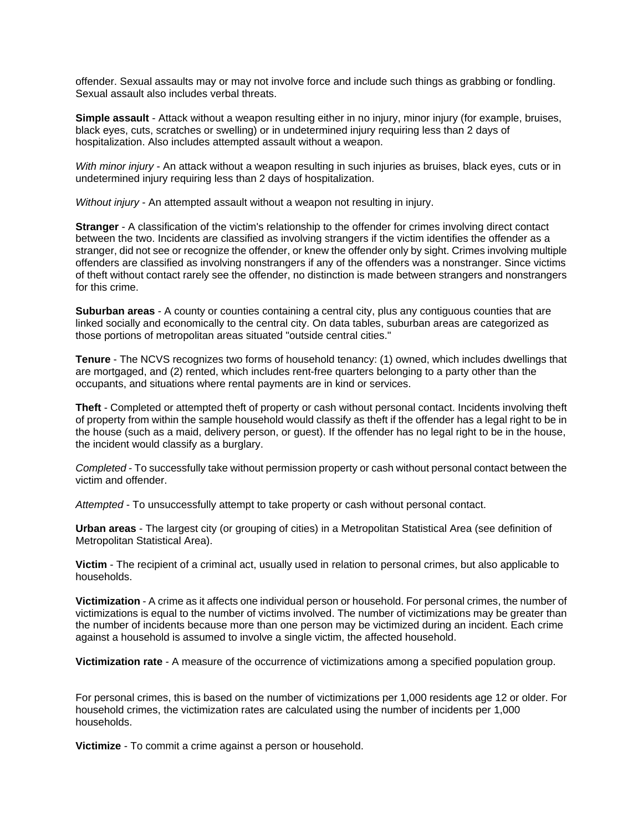offender. Sexual assaults may or may not involve force and include such things as grabbing or fondling. Sexual assault also includes verbal threats.

**Simple assault** - Attack without a weapon resulting either in no injury, minor injury (for example, bruises, black eyes, cuts, scratches or swelling) or in undetermined injury requiring less than 2 days of hospitalization. Also includes attempted assault without a weapon.

*With minor injury* - An attack without a weapon resulting in such injuries as bruises, black eyes, cuts or in undetermined injury requiring less than 2 days of hospitalization.

*Without injury* - An attempted assault without a weapon not resulting in injury.

**Stranger** - A classification of the victim's relationship to the offender for crimes involving direct contact between the two. Incidents are classified as involving strangers if the victim identifies the offender as a stranger, did not see or recognize the offender, or knew the offender only by sight. Crimes involving multiple offenders are classified as involving nonstrangers if any of the offenders was a nonstranger. Since victims of theft without contact rarely see the offender, no distinction is made between strangers and nonstrangers for this crime.

**Suburban areas** - A county or counties containing a central city, plus any contiguous counties that are linked socially and economically to the central city. On data tables, suburban areas are categorized as those portions of metropolitan areas situated "outside central cities."

**Tenure** - The NCVS recognizes two forms of household tenancy: (1) owned, which includes dwellings that are mortgaged, and (2) rented, which includes rent-free quarters belonging to a party other than the occupants, and situations where rental payments are in kind or services.

**Theft** - Completed or attempted theft of property or cash without personal contact. Incidents involving theft of property from within the sample household would classify as theft if the offender has a legal right to be in the house (such as a maid, delivery person, or guest). If the offender has no legal right to be in the house, the incident would classify as a burglary.

*Completed* - To successfully take without permission property or cash without personal contact between the victim and offender.

*Attempted* - To unsuccessfully attempt to take property or cash without personal contact.

**Urban areas** - The largest city (or grouping of cities) in a Metropolitan Statistical Area (see definition of Metropolitan Statistical Area).

**Victim** - The recipient of a criminal act, usually used in relation to personal crimes, but also applicable to households.

**Victimization** - A crime as it affects one individual person or household. For personal crimes, the number of victimizations is equal to the number of victims involved. The number of victimizations may be greater than the number of incidents because more than one person may be victimized during an incident. Each crime against a household is assumed to involve a single victim, the affected household.

**Victimization rate** - A measure of the occurrence of victimizations among a specified population group.

For personal crimes, this is based on the number of victimizations per 1,000 residents age 12 or older. For household crimes, the victimization rates are calculated using the number of incidents per 1,000 households.

**Victimize** - To commit a crime against a person or household.